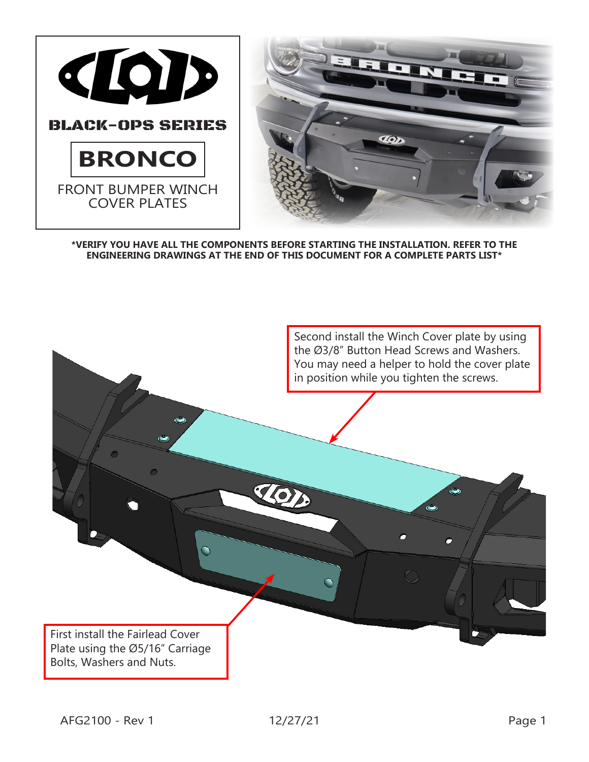



**\*VERIFY YOU HAVE ALL THE COMPONENTS BEFORE STARTING THE INSTALLATION. REFER TO THE ENGINEERING DRAWINGS AT THE END OF THIS DOCUMENT FOR A COMPLETE PARTS LIST\***

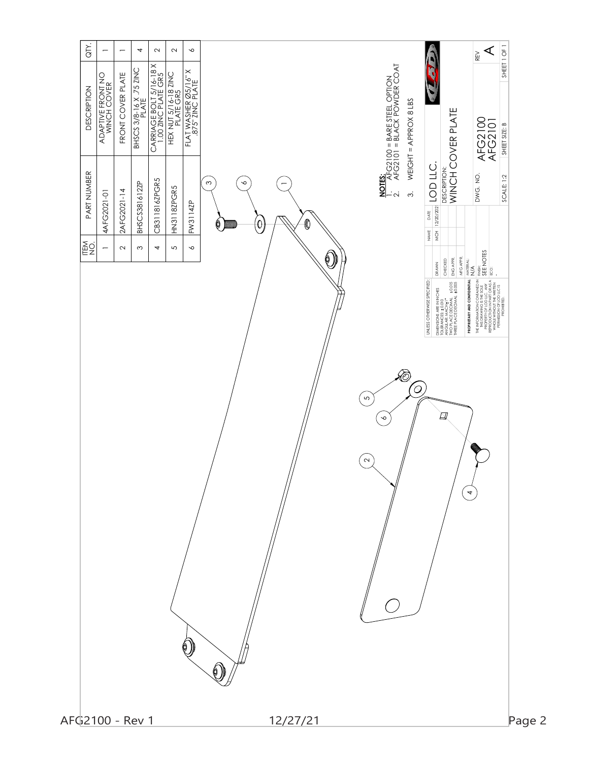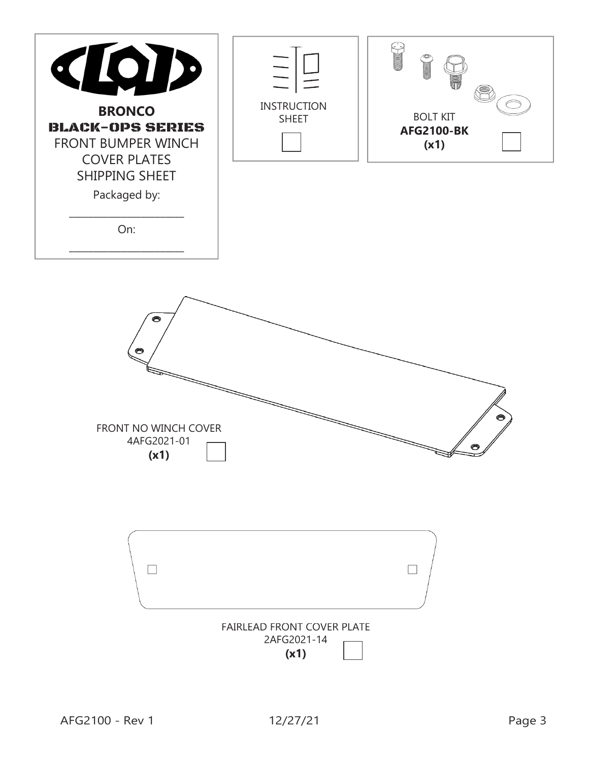